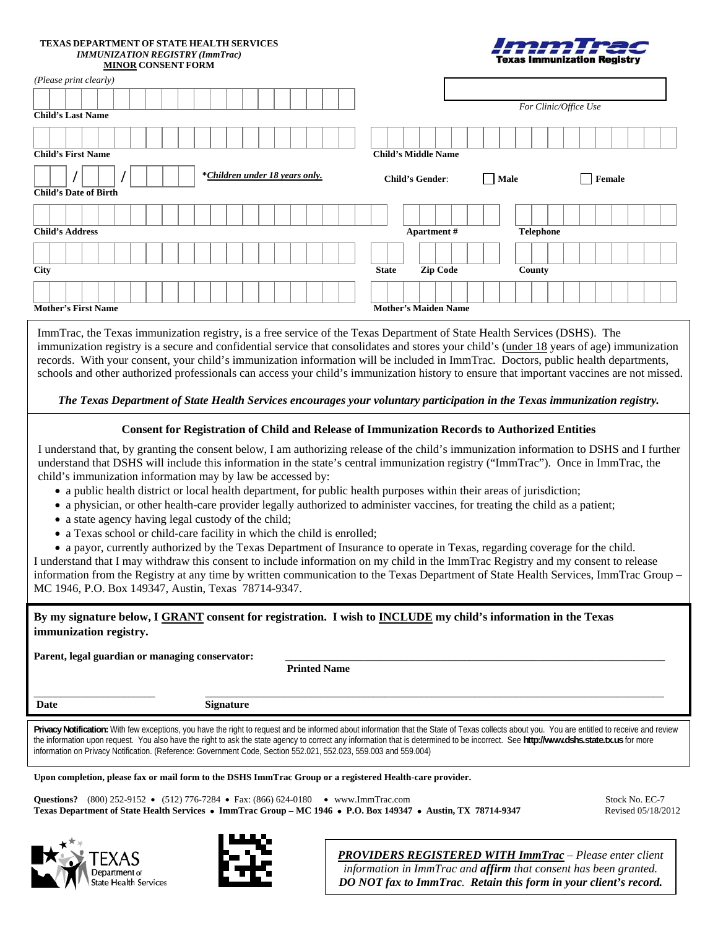### **TEXAS DEPARTMENT OF STATE HEALTH SERVICES**  *IMMUNIZATION REGISTRY (ImmTrac)*  **MINOR CONSENT FORM**

|                                    | Imm Trac |
|------------------------------------|----------|
| <b>Texas Immunization Registry</b> |          |

| (Please print clearly)                                         |                                            |
|----------------------------------------------------------------|--------------------------------------------|
| <b>Child's Last Name</b>                                       | For Clinic/Office Use                      |
| <b>Child's First Name</b>                                      | <b>Child's Middle Name</b>                 |
| *Children under 18 years only.<br><b>Child's Date of Birth</b> | Female<br><b>Child's Gender:</b><br>  Male |
|                                                                |                                            |
| <b>Child's Address</b>                                         | <b>Telephone</b><br><b>Apartment</b> #     |
|                                                                |                                            |
| <b>City</b>                                                    | Zip Code<br><b>State</b><br>County         |
|                                                                |                                            |
| <b>Mother's First Name</b>                                     | <b>Mother's Maiden Name</b>                |

ImmTrac, the Texas immunization registry, is a free service of the Texas Department of State Health Services (DSHS). The immunization registry is a secure and confidential service that consolidates and stores your child's (under 18 years of age) immunization records. With your consent, your child's immunization information will be included in ImmTrac. Doctors, public health departments, schools and other authorized professionals can access your child's immunization history to ensure that important vaccines are not missed.

*The Texas Department of State Health Services encourages your voluntary participation in the Texas immunization registry.*

## **Consent for Registration of Child and Release of Immunization Records to Authorized Entities**

I understand that, by granting the consent below, I am authorizing release of the child's immunization information to DSHS and I further understand that DSHS will include this information in the state's central immunization registry ("ImmTrac"). Once in ImmTrac, the child's immunization information may by law be accessed by:

- a public health district or local health department, for public health purposes within their areas of jurisdiction;
- a physician, or other health-care provider legally authorized to administer vaccines, for treating the child as a patient;
- a state agency having legal custody of the child;
- a Texas school or child-care facility in which the child is enrolled;

• a payor, currently authorized by the Texas Department of Insurance to operate in Texas, regarding coverage for the child. I understand that I may withdraw this consent to include information on my child in the ImmTrac Registry and my consent to release

information from the Registry at any time by written communication to the Texas Department of State Health Services, ImmTrac Group – MC 1946, P.O. Box 149347, Austin, Texas 78714-9347.

# **By my signature below, I GRANT consent for registration. I wish to INCLUDE my child's information in the Texas immunization registry.**

Parent, legal guardian or managing conservator:

**Printed Name**

\_\_\_\_\_\_\_\_\_\_\_\_\_\_\_\_\_\_\_\_\_\_\_ \_\_\_\_\_\_\_\_\_\_\_\_\_\_\_\_\_\_\_\_\_\_\_\_\_\_\_\_\_\_\_\_\_\_\_\_\_\_\_\_\_\_\_\_\_\_\_\_\_\_\_\_\_\_\_\_\_\_\_\_\_\_\_\_\_\_\_\_\_\_\_\_\_\_\_\_\_\_\_\_\_\_\_\_\_\_\_ **Date Signature** 

Privacy Notification: With few exceptions, you have the right to request and be informed about information that the State of Texas collects about you. You are entitled to receive and review the information upon request. You also have the right to ask the state agency to correct any information that is determined to be incorrect. See **http://www.dshs.state.tx.us** for more information on Privacy Notification. (Reference: Government Code, Section 552.021, 552.023, 559.003 and 559.004)

**Upon completion, please fax or mail form to the DSHS ImmTrac Group or a registered Health-care provider.** 

**Questions?** (800) 252-9152 • (512) 776-7284 • Fax: (866) 624-0180 • www.ImmTrac.com Stock No. EC-7 **Texas Department of State Health Services** • **ImmTrac Group – MC 1946** • **P.O. Box 149347** • **Austin, TX 78714-9347** Revised 05/18/2012





*PROVIDERS REGISTERED WITH ImmTrac – Please enter client information in ImmTrac and affirm that consent has been granted. DO NOT fax to ImmTrac. Retain this form in your client's record.*